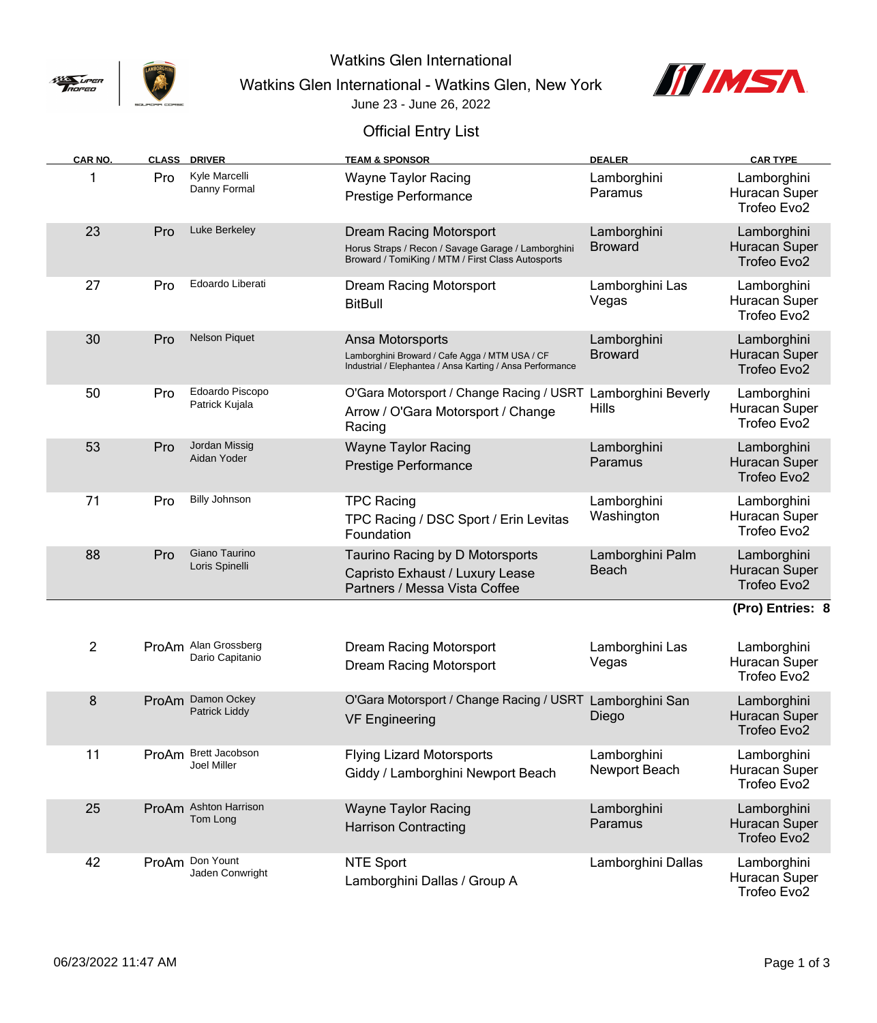

Watkins Glen International

Watkins Glen International - Watkins Glen, New York



June 23 - June 26, 2022

## Official Entry List

| CAR NO. |     | <b>CLASS DRIVER</b>                     | <b>TEAM &amp; SPONSOR</b>                                                                                                          | <b>DEALER</b>                       | <b>CAR TYPE</b>                                         |
|---------|-----|-----------------------------------------|------------------------------------------------------------------------------------------------------------------------------------|-------------------------------------|---------------------------------------------------------|
|         | Pro | Kyle Marcelli<br>Danny Formal           | <b>Wayne Taylor Racing</b><br>Prestige Performance                                                                                 | Lamborghini<br>Paramus              | Lamborghini<br>Huracan Super<br>Trofeo Evo2             |
| 23      | Pro | Luke Berkeley                           | Dream Racing Motorsport<br>Horus Straps / Recon / Savage Garage / Lamborghini<br>Broward / TomiKing / MTM / First Class Autosports | Lamborghini<br><b>Broward</b>       | Lamborghini<br>Huracan Super<br>Trofeo Evo2             |
| 27      | Pro | Edoardo Liberati                        | Dream Racing Motorsport<br><b>BitBull</b>                                                                                          | Lamborghini Las<br>Vegas            | Lamborghini<br>Huracan Super<br>Trofeo Evo2             |
| 30      | Pro | <b>Nelson Piquet</b>                    | Ansa Motorsports<br>Lamborghini Broward / Cafe Agga / MTM USA / CF<br>Industrial / Elephantea / Ansa Karting / Ansa Performance    | Lamborghini<br><b>Broward</b>       | Lamborghini<br>Huracan Super<br>Trofeo Evo2             |
| 50      | Pro | Edoardo Piscopo<br>Patrick Kujala       | O'Gara Motorsport / Change Racing / USRT<br>Arrow / O'Gara Motorsport / Change<br>Racing                                           | Lamborghini Beverly<br><b>Hills</b> | Lamborghini<br>Huracan Super<br>Trofeo Evo <sub>2</sub> |
| 53      | Pro | Jordan Missig<br>Aidan Yoder            | <b>Wayne Taylor Racing</b><br><b>Prestige Performance</b>                                                                          | Lamborghini<br>Paramus              | Lamborghini<br>Huracan Super<br>Trofeo Evo2             |
| 71      | Pro | <b>Billy Johnson</b>                    | <b>TPC Racing</b><br>TPC Racing / DSC Sport / Erin Levitas<br>Foundation                                                           | Lamborghini<br>Washington           | Lamborghini<br>Huracan Super<br>Trofeo Evo2             |
| 88      | Pro | Giano Taurino<br>Loris Spinelli         | Taurino Racing by D Motorsports<br>Capristo Exhaust / Luxury Lease<br>Partners / Messa Vista Coffee                                | Lamborghini Palm<br><b>Beach</b>    | Lamborghini<br>Huracan Super<br>Trofeo Evo2             |
|         |     |                                         |                                                                                                                                    |                                     | (Pro) Entries: 8                                        |
| 2       |     | ProAm Alan Grossberg<br>Dario Capitanio | Dream Racing Motorsport<br>Dream Racing Motorsport                                                                                 | Lamborghini Las<br>Vegas            | Lamborghini<br>Huracan Super<br>Trofeo Evo2             |
| 8       |     | ProAm Damon Ockey<br>Patrick Liddy      | O'Gara Motorsport / Change Racing / USRT Lamborghini San<br><b>VF Engineering</b>                                                  | Diego                               | Lamborghini<br>Huracan Super<br>Trofeo Evo2             |
| 11      |     | ProAm Brett Jacobson<br>Joel Miller     | <b>Flying Lizard Motorsports</b><br>Giddy / Lamborghini Newport Beach                                                              | Lamborghini<br>Newport Beach        | Lamborghini<br>Huracan Super<br>Trofeo Evo2             |
| 25      |     | ProAm Ashton Harrison<br>Tom Long       | <b>Wayne Taylor Racing</b><br><b>Harrison Contracting</b>                                                                          | Lamborghini<br>Paramus              | Lamborghini<br>Huracan Super<br>Trofeo Evo2             |
| 42      |     | ProAm Don Yount<br>Jaden Conwright      | NTE Sport<br>Lamborghini Dallas / Group A                                                                                          | Lamborghini Dallas                  | Lamborghini<br>Huracan Super<br>Trofeo Evo2             |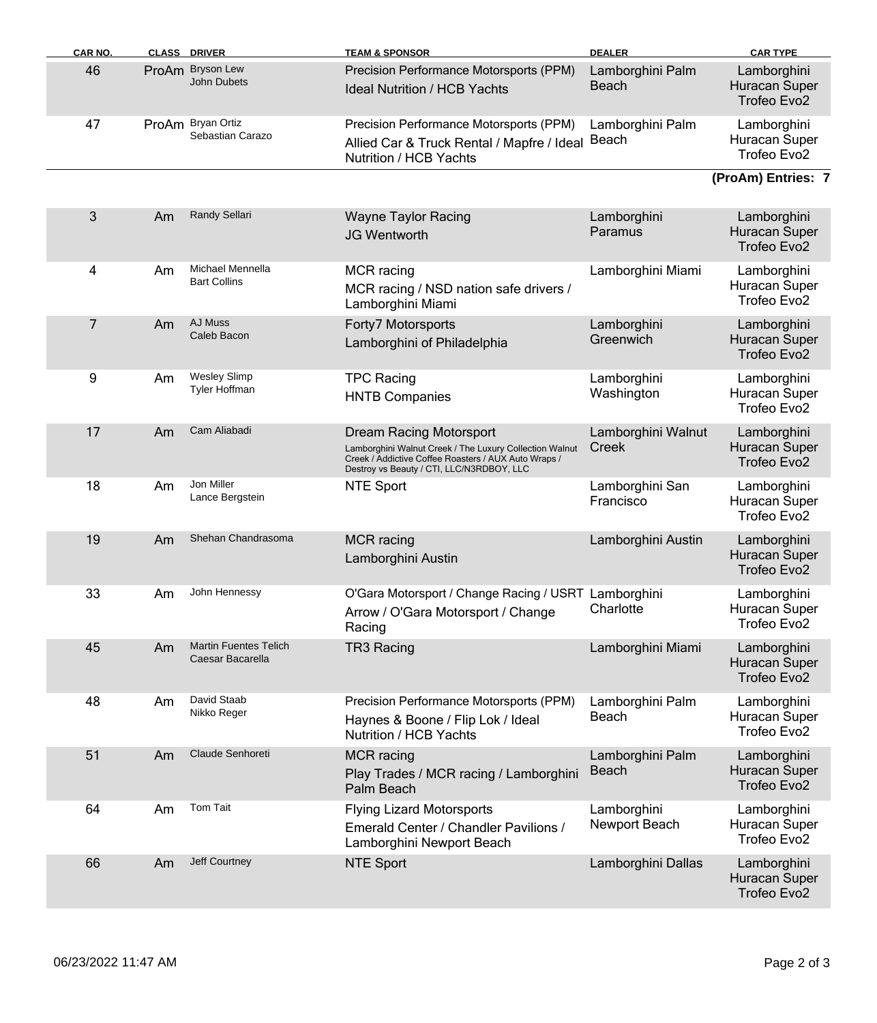| <b>CAR NO.</b> |    | <b>CLASS DRIVER</b>                              | <b>TEAM &amp; SPONSOR</b>                                                                                                                                                                      | <b>DEALER</b>                    | <b>CAR TYPE</b>                                         |
|----------------|----|--------------------------------------------------|------------------------------------------------------------------------------------------------------------------------------------------------------------------------------------------------|----------------------------------|---------------------------------------------------------|
| 46             |    | ProAm Bryson Lew<br><b>John Dubets</b>           | Precision Performance Motorsports (PPM)<br><b>Ideal Nutrition / HCB Yachts</b>                                                                                                                 | Lamborghini Palm<br><b>Beach</b> | Lamborghini<br>Huracan Super<br>Trofeo Evo <sub>2</sub> |
| 47             |    | ProAm Bryan Ortiz<br>Sebastian Carazo            | Precision Performance Motorsports (PPM)<br>Allied Car & Truck Rental / Mapfre / Ideal<br>Nutrition / HCB Yachts                                                                                | Lamborghini Palm<br>Beach        | Lamborghini<br>Huracan Super<br>Trofeo Evo2             |
|                |    |                                                  |                                                                                                                                                                                                |                                  | (ProAm) Entries: 7                                      |
| 3              | Am | <b>Randy Sellari</b>                             | <b>Wayne Taylor Racing</b><br><b>JG Wentworth</b>                                                                                                                                              | Lamborghini<br>Paramus           | Lamborghini<br>Huracan Super<br>Trofeo Evo2             |
| 4              | Am | Michael Mennella<br><b>Bart Collins</b>          | <b>MCR</b> racing<br>MCR racing / NSD nation safe drivers /<br>Lamborghini Miami                                                                                                               | Lamborghini Miami                | Lamborghini<br>Huracan Super<br>Trofeo Evo2             |
| 7              | Am | AJ Muss<br>Caleb Bacon                           | Forty7 Motorsports<br>Lamborghini of Philadelphia                                                                                                                                              | Lamborghini<br>Greenwich         | Lamborghini<br>Huracan Super<br>Trofeo Evo2             |
| 9              | Am | <b>Wesley Slimp</b><br><b>Tyler Hoffman</b>      | <b>TPC Racing</b><br><b>HNTB Companies</b>                                                                                                                                                     | Lamborghini<br>Washington        | Lamborghini<br>Huracan Super<br>Trofeo Evo2             |
| 17             | Am | Cam Aliabadi                                     | <b>Dream Racing Motorsport</b><br>Lamborghini Walnut Creek / The Luxury Collection Walnut<br>Creek / Addictive Coffee Roasters / AUX Auto Wraps /<br>Destroy vs Beauty / CTI, LLC/N3RDBOY, LLC | Lamborghini Walnut<br>Creek      | Lamborghini<br>Huracan Super<br>Trofeo Evo2             |
| 18             | Am | Jon Miller<br>Lance Bergstein                    | NTE Sport                                                                                                                                                                                      | Lamborghini San<br>Francisco     | Lamborghini<br>Huracan Super<br>Trofeo Evo2             |
| 19             | Am | Shehan Chandrasoma                               | <b>MCR</b> racing<br>Lamborghini Austin                                                                                                                                                        | Lamborghini Austin               | Lamborghini<br>Huracan Super<br>Trofeo Evo <sub>2</sub> |
| 33             | Am | John Hennessy                                    | O'Gara Motorsport / Change Racing / USRT Lamborghini<br>Arrow / O'Gara Motorsport / Change<br>Racing                                                                                           | Charlotte                        | Lamborghini<br>Huracan Super<br>Trofeo Evo2             |
| 45             | Am | <b>Martin Fuentes Telich</b><br>Caesar Bacarella | TR3 Racing                                                                                                                                                                                     | Lamborghini Miami                | Lamborghini<br>Huracan Super<br>Trofeo Evo2             |
| 48             | Am | David Staab<br>Nikko Reger                       | Precision Performance Motorsports (PPM)<br>Haynes & Boone / Flip Lok / Ideal<br>Nutrition / HCB Yachts                                                                                         | Lamborghini Palm<br>Beach        | Lamborghini<br>Huracan Super<br>Trofeo Evo2             |
| 51             | Am | Claude Senhoreti                                 | <b>MCR</b> racing<br>Play Trades / MCR racing / Lamborghini<br>Palm Beach                                                                                                                      | Lamborghini Palm<br><b>Beach</b> | Lamborghini<br>Huracan Super<br>Trofeo Evo2             |
| 64             | Am | Tom Tait                                         | <b>Flying Lizard Motorsports</b><br>Emerald Center / Chandler Pavilions /<br>Lamborghini Newport Beach                                                                                         | Lamborghini<br>Newport Beach     | Lamborghini<br>Huracan Super<br>Trofeo Evo2             |
| 66             | Am | Jeff Courtney                                    | <b>NTE Sport</b>                                                                                                                                                                               | Lamborghini Dallas               | Lamborghini<br>Huracan Super<br>Trofeo Evo2             |